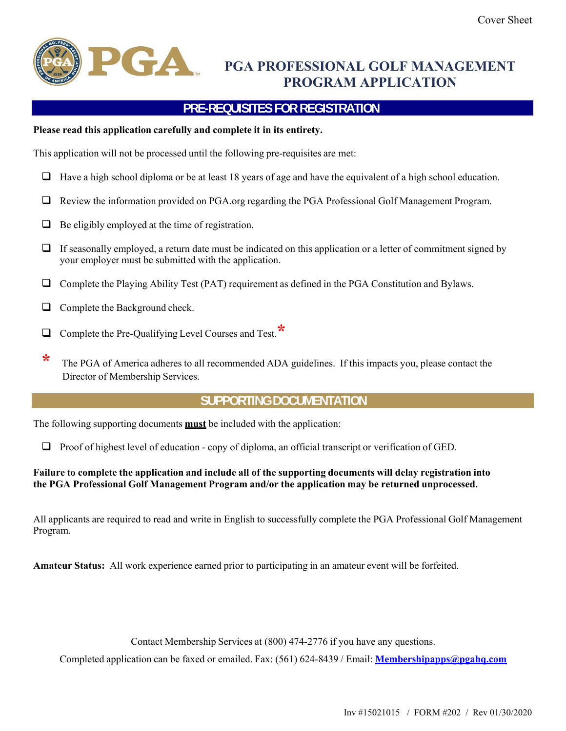

# **PGA PROFESSIONAL GOLF MANAGEMENT PROGRAM APPLICATION**

## **PRE-REQUISITES FOR REGISTRATION**

#### **Please read this application carefully and complete it in its entirety.**

This application will not be processed until the following pre-requisites are met:

- $\Box$  Have a high school diploma or be at least 18 years of age and have the equivalent of a high school education.
- Review the information provided on PGA.org regarding the PGA Professional Golf Management Program.
- $\Box$  Be eligibly employed at the time of registration.
- $\Box$  If seasonally employed, a return date must be indicated on this application or a letter of commitment signed by your employer must be submitted with the application.
- Complete the Playing Ability Test (PAT) requirement as defined in the PGA Constitution and Bylaws.
- $\Box$  Complete the Background check.
- Complete the Pre-Qualifying Level Courses and Test.**\***
- **\*** The PGA of America adheres to all recommended ADA guidelines. If this impacts you, please contact the Director of Membership Services.

## **SUPPORTING DOCUMENTATION**

The following supporting documents **must** be included with the application:

 $\Box$  Proof of highest level of education - copy of diploma, an official transcript or verification of GED.

#### **Failure to complete the application and include all of the supporting documents will delay registration into the PGA Professional Golf Management Program and/or the application may be returned unprocessed.**

All applicants are required to read and write in English to successfully complete the PGA Professional Golf Management Program.

**Amateur Status:** All work experience earned prior to participating in an amateur event will be forfeited.

Contact Membership Services at (800) 474-2776 if you have any questions.

Completed application can be faxed or emailed. Fax: (561) 624-8439 / Email: **Membershipapps@pgahq.com**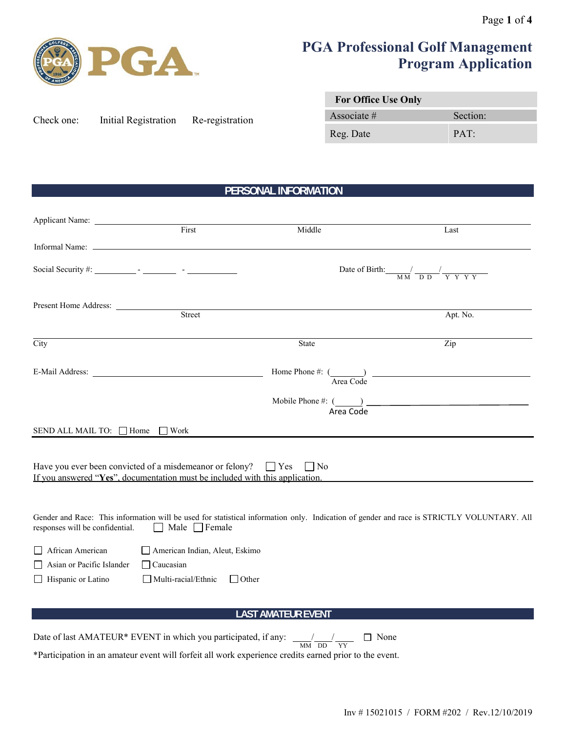

# **PGA Professional Golf Management Program Application**

| Check one: | Initial Registration | Re-registration |
|------------|----------------------|-----------------|
|            |                      |                 |

| <b>For Office Use Only</b> |          |
|----------------------------|----------|
| Associate $#$              | Section: |
| Reg. Date                  | PAT:     |

## **PERSONAL INFORMATION**

| Applicant Name:                                                                                                                                               |                                                                                  |                                                                                |                                                                                                                                           |
|---------------------------------------------------------------------------------------------------------------------------------------------------------------|----------------------------------------------------------------------------------|--------------------------------------------------------------------------------|-------------------------------------------------------------------------------------------------------------------------------------------|
|                                                                                                                                                               | First                                                                            | Middle                                                                         | Last                                                                                                                                      |
|                                                                                                                                                               |                                                                                  |                                                                                |                                                                                                                                           |
|                                                                                                                                                               |                                                                                  |                                                                                | Date of Birth: $\frac{1}{M M} \frac{1}{D D} \frac{1}{Y Y Y Y Y}$                                                                          |
|                                                                                                                                                               |                                                                                  |                                                                                |                                                                                                                                           |
|                                                                                                                                                               |                                                                                  | Present Home Address: <u>Street</u>                                            | Apt. No.                                                                                                                                  |
| City                                                                                                                                                          |                                                                                  | <b>State</b>                                                                   | Zip                                                                                                                                       |
|                                                                                                                                                               |                                                                                  |                                                                                | Home Phone #: $\frac{1}{\text{Area Code}}$                                                                                                |
|                                                                                                                                                               |                                                                                  |                                                                                | $\begin{array}{c}\n \text{Mobile Phone \#: } (\underline{\hspace{1cm}}) \quad \text{Area Code}\n \end{array}$                             |
| SEND ALL MAIL TO: □ Home □ Work                                                                                                                               |                                                                                  |                                                                                |                                                                                                                                           |
| Have you ever been convicted of a misdemeanor or felony? $\Box$ Yes $\Box$ No<br>If you answered "Yes", documentation must be included with this application. |                                                                                  |                                                                                |                                                                                                                                           |
| responses will be confidential.<br>$\perp$                                                                                                                    | Male $\Box$ Female                                                               |                                                                                | Gender and Race: This information will be used for statistical information only. Indication of gender and race is STRICTLY VOLUNTARY. All |
| African American<br>Asian or Pacific Islander<br>Hispanic or Latino<br>$\perp$                                                                                | American Indian, Aleut, Eskimo<br>$\Box$ Caucasian<br>$\Box$ Multi-racial/Ethnic | $\Box$ Other                                                                   |                                                                                                                                           |
|                                                                                                                                                               |                                                                                  | <b>LAST AMATEUR EVENT</b>                                                      |                                                                                                                                           |
|                                                                                                                                                               |                                                                                  | □ None<br>$\overline{\text{MM}} \ \overline{\text{DD}} \ \overline{\text{YY}}$ |                                                                                                                                           |

\*Participation in an amateur event will forfeit all work experience credits earned prior to the event.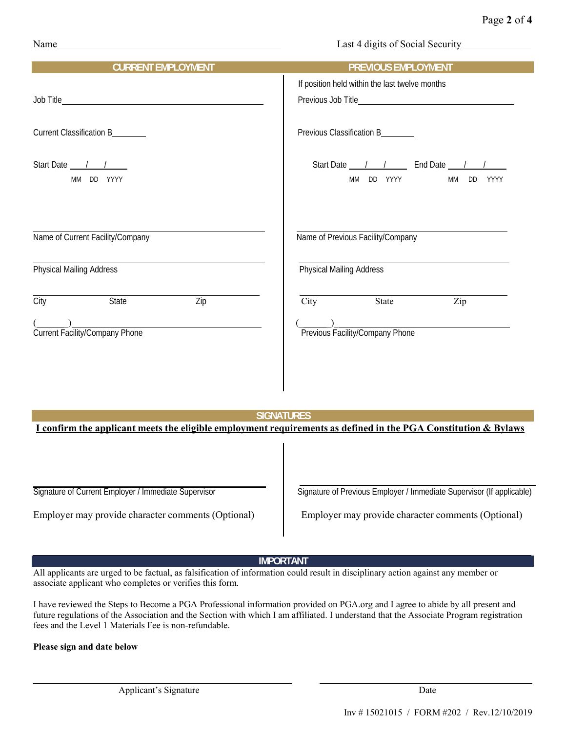| Name | Last 4 digits of Social Security |
|------|----------------------------------|
|      |                                  |

| <b>CURRENT EMPLOYMENT</b>                | <b>PREVIOUS EMPLOYMENT</b>                     |
|------------------------------------------|------------------------------------------------|
|                                          | If position held within the last twelve months |
|                                          |                                                |
| Current Classification B_______          | Previous Classification B_______               |
| Start Date / /                           | Start Date <u>1 / 1</u> End Date 1 /           |
| MM DD YYYY                               | <b>MM</b><br>DD YYYY<br>MM DD<br>YYYY          |
| Name of Current Facility/Company         | Name of Previous Facility/Company              |
| <b>Physical Mailing Address</b>          | <b>Physical Mailing Address</b>                |
| $\overline{Zip}$<br><b>State</b><br>City | City<br>State<br>Zip                           |
| Current Facility/Company Phone           | Previous Facility/Company Phone                |
|                                          |                                                |

#### **SIGNATURES**

**I confirm the applicant meets the eligible employment requirements as defined in the PGA Constitution & Bylaws**

Employer may provide character comments (Optional) Employer may provide character comments (Optional)

Signature of Current Employer / Immediate Supervisor Signature of Previous Employer / Immediate Supervisor (If applicable)

#### **IMPORTANT**

All applicants are urged to be factual, as falsification of information could result in disciplinary action against any member or associate applicant who completes or verifies this form.

I have reviewed the Steps to Become a PGA Professional information provided on PGA.org and I agree to abide by all present and future regulations of the Association and the Section with which I am affiliated. I understand that the Associate Program registration fees and the Level 1 Materials Fee is non-refundable.

#### **Please sign and date below**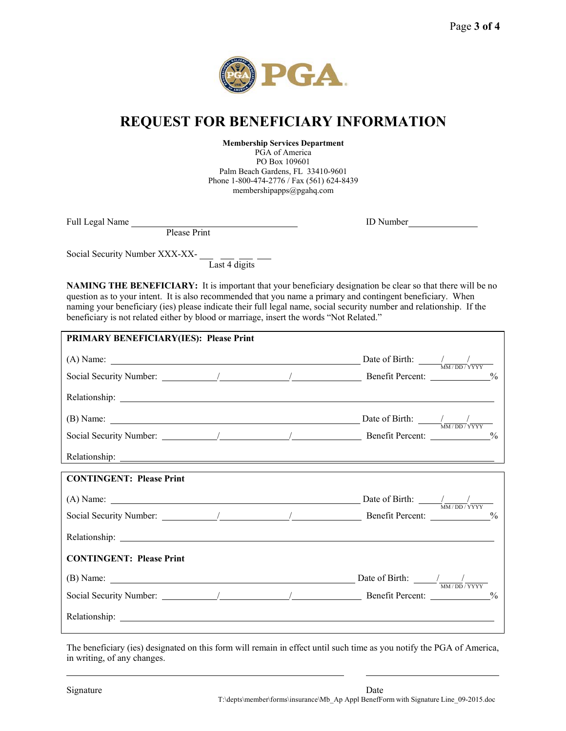

## **REQUEST FOR BENEFICIARY INFORMATION**

**Membership Services Department**

PGA of America PO Box 109601 Palm Beach Gardens, FL 33410-9601 Phone 1-800-474-2776 / Fax (561) 624-8439 membershipapps@pgahq.com

Full Legal Name

ID Number

Please Print

Social Security Number XXX-XX-

 $\frac{1}{\text{Last 4 digits}}$ 

**NAMING THE BENEFICIARY:** It is important that your beneficiary designation be clear so that there will be no question as to your intent. It is also recommended that you name a primary and contingent beneficiary. When naming your beneficiary (ies) please indicate their full legal name, social security number and relationship. If the beneficiary is not related either by blood or marriage, insert the words "Not Related."

| <b>PRIMARY BENEFICIARY(IES): Please Print</b> |  |  |
|-----------------------------------------------|--|--|
|                                               |  |  |
|                                               |  |  |
|                                               |  |  |
|                                               |  |  |
|                                               |  |  |
|                                               |  |  |
| <b>CONTINGENT: Please Print</b>               |  |  |
|                                               |  |  |
|                                               |  |  |
|                                               |  |  |
| <b>CONTINGENT: Please Print</b>               |  |  |
|                                               |  |  |
|                                               |  |  |
|                                               |  |  |
|                                               |  |  |

The beneficiary (ies) designated on this form will remain in effect until such time as you notify the PGA of America, in writing, of any changes.